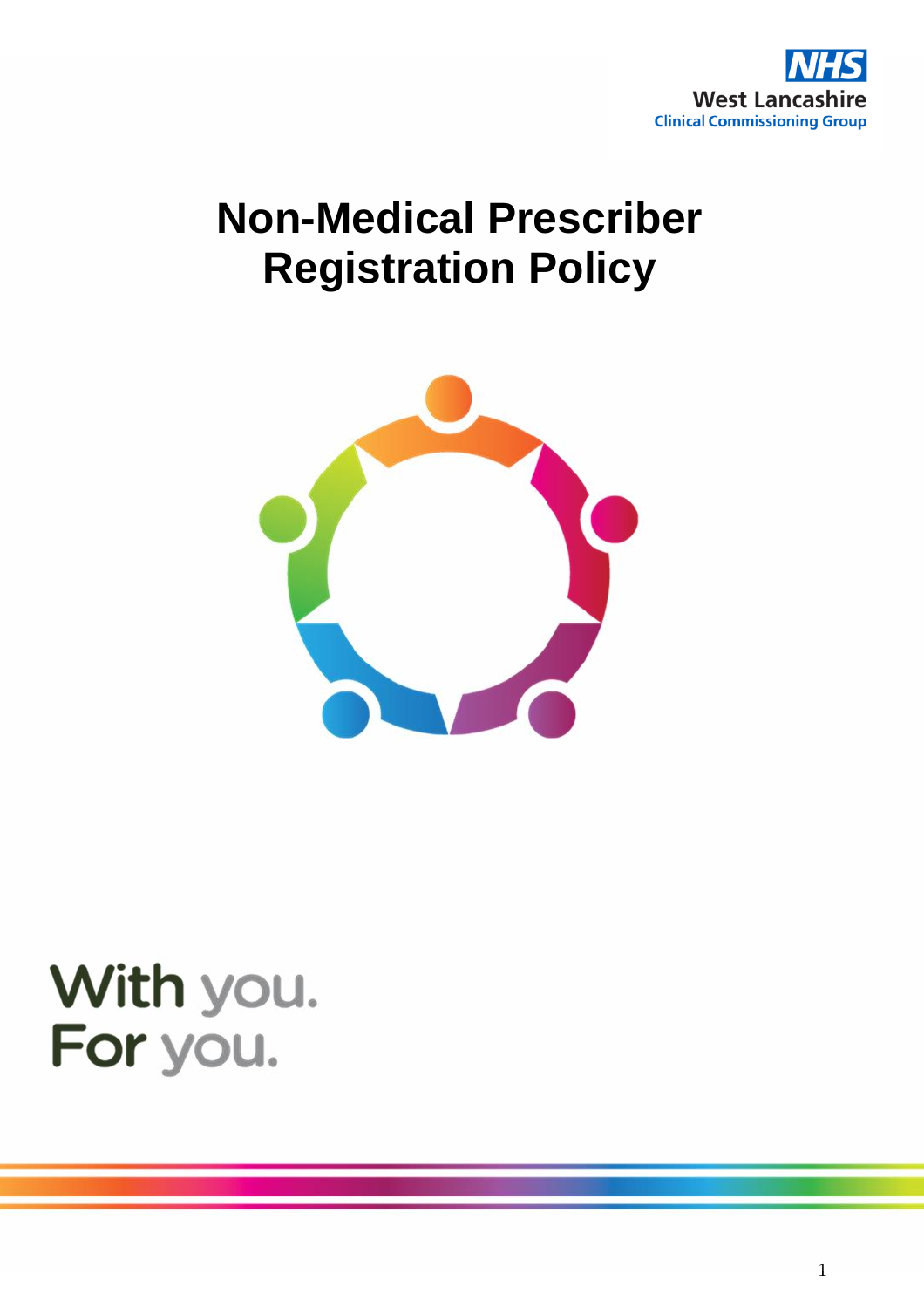

# **Non-Medical Prescriber Registration Policy**



# With you. For you.

1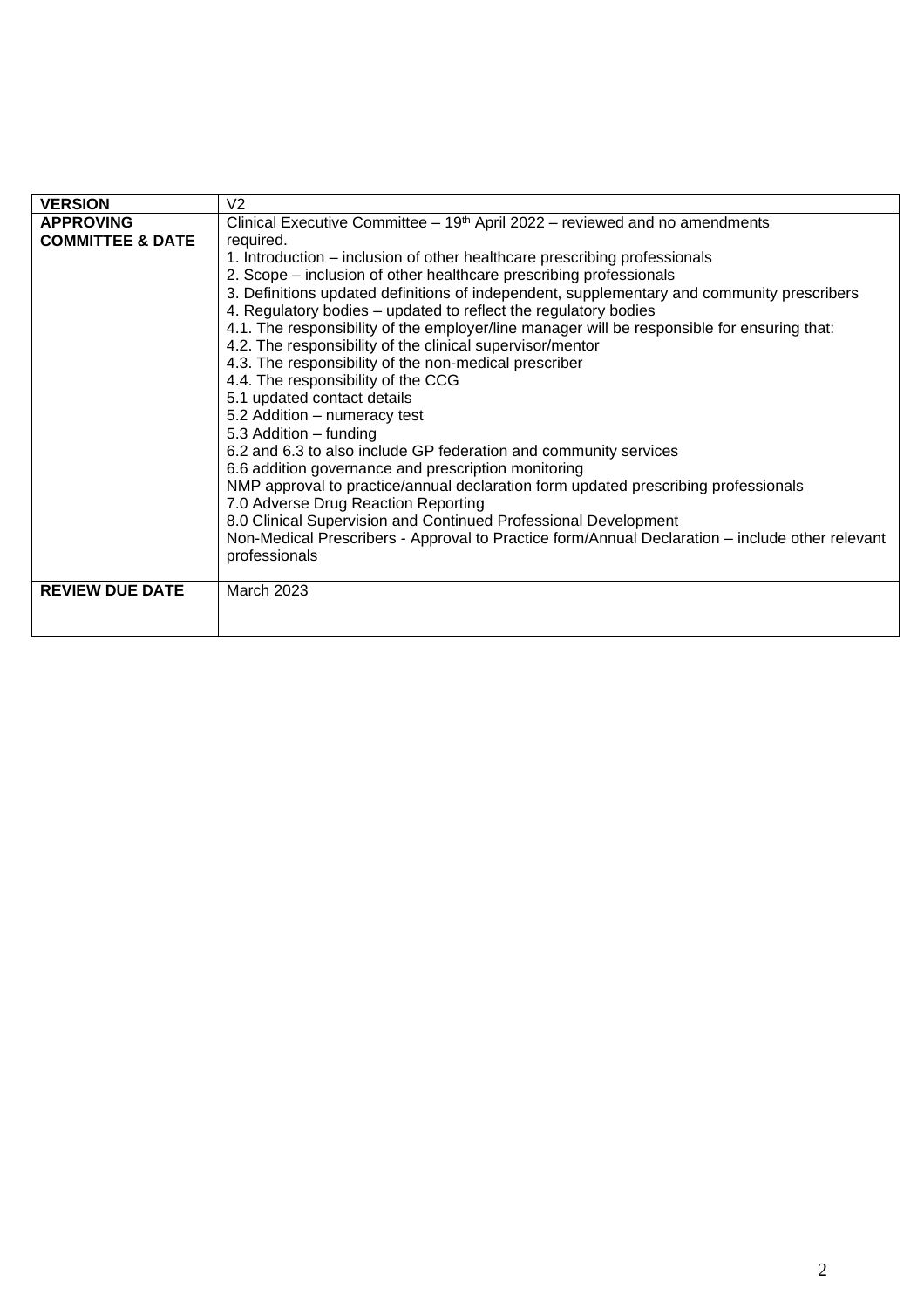| <b>VERSION</b>              | V <sub>2</sub>                                                                                  |  |  |  |  |  |
|-----------------------------|-------------------------------------------------------------------------------------------------|--|--|--|--|--|
| <b>APPROVING</b>            | Clinical Executive Committee $-19th$ April 2022 – reviewed and no amendments                    |  |  |  |  |  |
| <b>COMMITTEE &amp; DATE</b> | required.                                                                                       |  |  |  |  |  |
|                             | 1. Introduction – inclusion of other healthcare prescribing professionals                       |  |  |  |  |  |
|                             | 2. Scope – inclusion of other healthcare prescribing professionals                              |  |  |  |  |  |
|                             | 3. Definitions updated definitions of independent, supplementary and community prescribers      |  |  |  |  |  |
|                             | 4. Regulatory bodies – updated to reflect the regulatory bodies                                 |  |  |  |  |  |
|                             | 4.1. The responsibility of the employer/line manager will be responsible for ensuring that:     |  |  |  |  |  |
|                             | 4.2. The responsibility of the clinical supervisor/mentor                                       |  |  |  |  |  |
|                             | 4.3. The responsibility of the non-medical prescriber                                           |  |  |  |  |  |
|                             | 4.4. The responsibility of the CCG                                                              |  |  |  |  |  |
|                             | 5.1 updated contact details                                                                     |  |  |  |  |  |
|                             | 5.2 Addition - numeracy test                                                                    |  |  |  |  |  |
|                             | 5.3 Addition - funding                                                                          |  |  |  |  |  |
|                             | 6.2 and 6.3 to also include GP federation and community services                                |  |  |  |  |  |
|                             | 6.6 addition governance and prescription monitoring                                             |  |  |  |  |  |
|                             | NMP approval to practice/annual declaration form updated prescribing professionals              |  |  |  |  |  |
|                             | 7.0 Adverse Drug Reaction Reporting                                                             |  |  |  |  |  |
|                             | 8.0 Clinical Supervision and Continued Professional Development                                 |  |  |  |  |  |
|                             | Non-Medical Prescribers - Approval to Practice form/Annual Declaration - include other relevant |  |  |  |  |  |
|                             | professionals                                                                                   |  |  |  |  |  |
|                             |                                                                                                 |  |  |  |  |  |
| <b>REVIEW DUE DATE</b>      | <b>March 2023</b>                                                                               |  |  |  |  |  |
|                             |                                                                                                 |  |  |  |  |  |
|                             |                                                                                                 |  |  |  |  |  |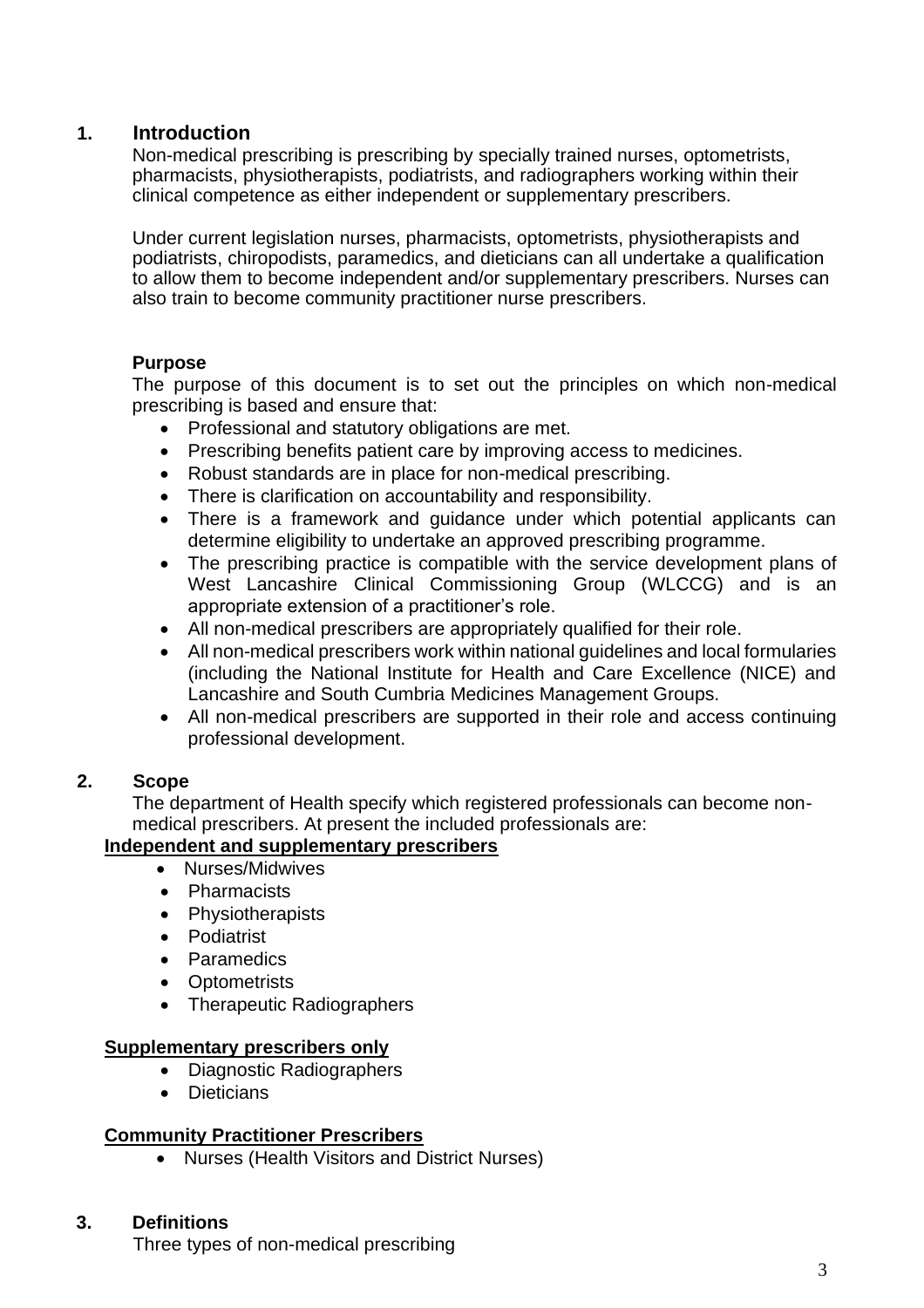#### **1. Introduction**

Non-medical prescribing is prescribing by specially trained nurses, optometrists, pharmacists, physiotherapists, podiatrists, and radiographers working within their clinical competence as either independent or supplementary prescribers.

Under current legislation nurses, pharmacists, optometrists, physiotherapists and podiatrists, chiropodists, paramedics, and dieticians can all undertake a qualification to allow them to become independent and/or supplementary prescribers. Nurses can also train to become community practitioner nurse prescribers.

#### **Purpose**

The purpose of this document is to set out the principles on which non-medical prescribing is based and ensure that:

- Professional and statutory obligations are met.
- Prescribing benefits patient care by improving access to medicines.
- Robust standards are in place for non-medical prescribing.
- There is clarification on accountability and responsibility.
- There is a framework and guidance under which potential applicants can determine eligibility to undertake an approved prescribing programme.
- The prescribing practice is compatible with the service development plans of West Lancashire Clinical Commissioning Group (WLCCG) and is an appropriate extension of a practitioner's role.
- All non-medical prescribers are appropriately qualified for their role.
- All non-medical prescribers work within national guidelines and local formularies (including the National Institute for Health and Care Excellence (NICE) and Lancashire and South Cumbria Medicines Management Groups.
- All non-medical prescribers are supported in their role and access continuing professional development.

#### **2. Scope**

The department of Health specify which registered professionals can become nonmedical prescribers. At present the included professionals are:

#### **Independent and supplementary prescribers**

- Nurses/Midwives
- Pharmacists
- Physiotherapists
- Podiatrist
- Paramedics
- Optometrists
- Therapeutic Radiographers

#### **Supplementary prescribers only**

- Diagnostic Radiographers
- Dieticians

#### **Community Practitioner Prescribers**

• Nurses (Health Visitors and District Nurses)

#### **3. Definitions**

Three types of non-medical prescribing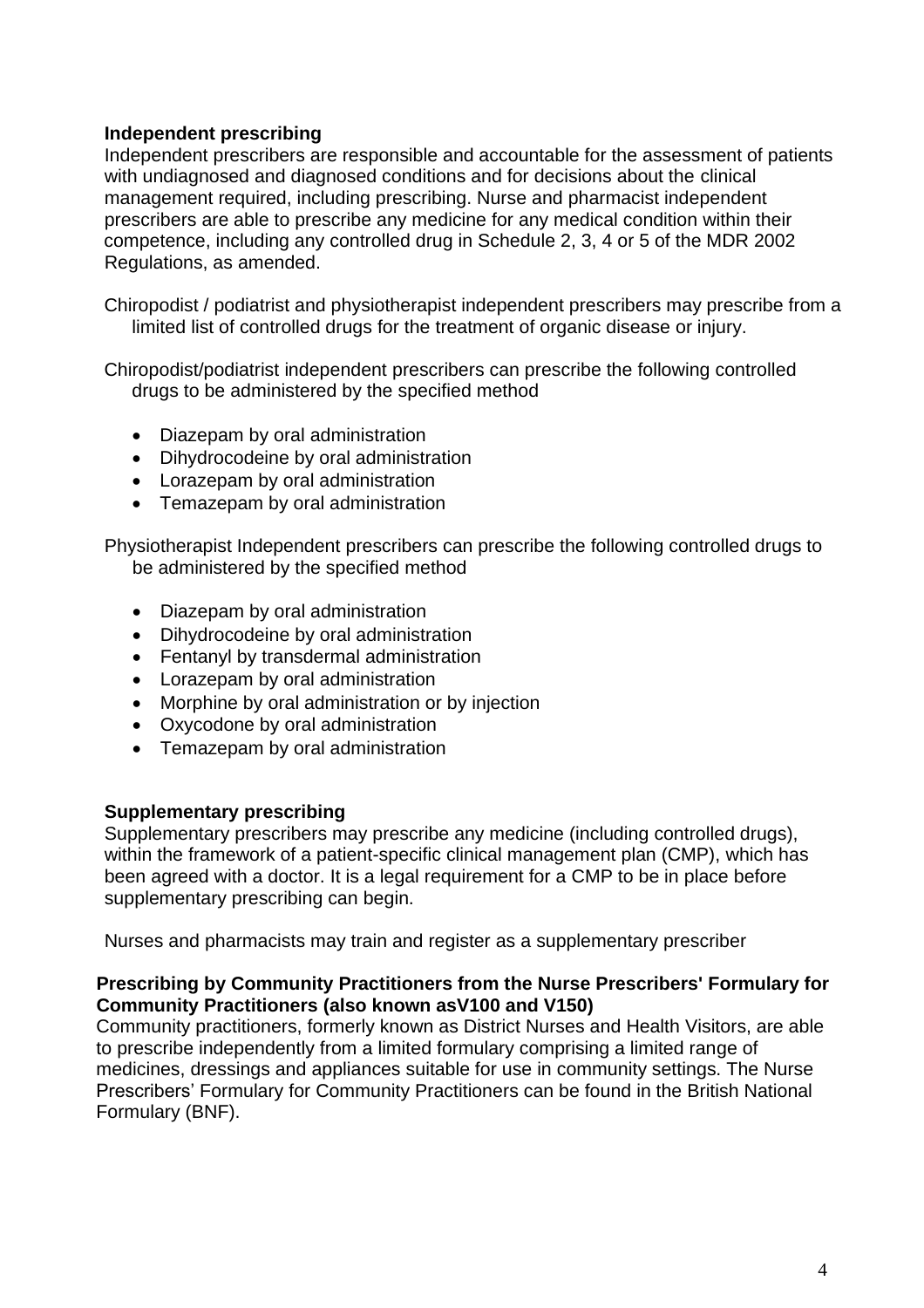#### **Independent prescribing**

Independent prescribers are responsible and accountable for the assessment of patients with undiagnosed and diagnosed conditions and for decisions about the clinical management required, including prescribing. Nurse and pharmacist independent prescribers are able to prescribe any medicine for any medical condition within their competence, including any controlled drug in Schedule 2, 3, 4 or 5 of the MDR 2002 Regulations, as amended.

Chiropodist / podiatrist and physiotherapist independent prescribers may prescribe from a limited list of controlled drugs for the treatment of organic disease or injury.

Chiropodist/podiatrist independent prescribers can prescribe the following controlled drugs to be administered by the specified method

- Diazepam by oral administration
- Dihydrocodeine by oral administration
- Lorazepam by oral administration
- Temazepam by oral administration

Physiotherapist Independent prescribers can prescribe the following controlled drugs to be administered by the specified method

- Diazepam by oral administration
- Dihydrocodeine by oral administration
- Fentanyl by transdermal administration
- Lorazepam by oral administration
- Morphine by oral administration or by injection
- Oxycodone by oral administration
- Temazepam by oral administration

#### **Supplementary prescribing**

Supplementary prescribers may prescribe any medicine (including controlled drugs), within the framework of a patient-specific clinical management plan (CMP), which has been agreed with a doctor. It is a legal requirement for a CMP to be in place before supplementary prescribing can begin.

Nurses and pharmacists may train and register as a supplementary prescriber

#### **Prescribing by Community Practitioners from the Nurse Prescribers' Formulary for Community Practitioners (also known asV100 and V150)**

Community practitioners, formerly known as District Nurses and Health Visitors, are able to prescribe independently from a limited formulary comprising a limited range of medicines, dressings and appliances suitable for use in community settings. The Nurse Prescribers' Formulary for Community Practitioners can be found in the British National Formulary (BNF).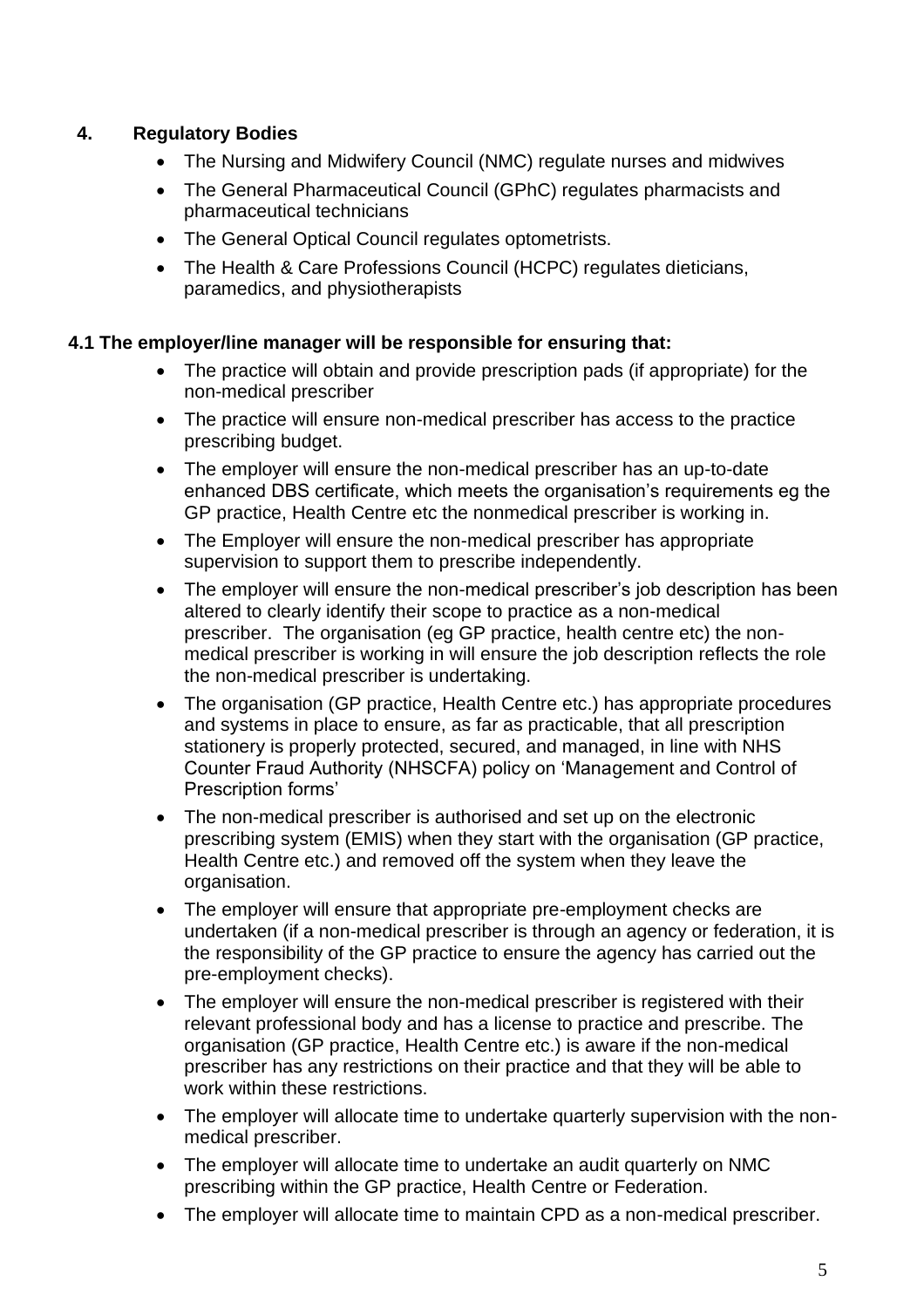# **4. Regulatory Bodies**

- The Nursing and Midwifery Council (NMC) regulate nurses and midwives
- The General Pharmaceutical Council (GPhC) regulates pharmacists and pharmaceutical technicians
- The General Optical Council regulates optometrists.
- The Health & Care Professions Council (HCPC) regulates dieticians, paramedics, and physiotherapists

#### **4.1 The employer/line manager will be responsible for ensuring that:**

- The practice will obtain and provide prescription pads (if appropriate) for the non-medical prescriber
- The practice will ensure non-medical prescriber has access to the practice prescribing budget.
- The employer will ensure the non-medical prescriber has an up-to-date enhanced DBS certificate, which meets the organisation's requirements eg the GP practice, Health Centre etc the nonmedical prescriber is working in.
- The Employer will ensure the non-medical prescriber has appropriate supervision to support them to prescribe independently.
- The employer will ensure the non-medical prescriber's job description has been altered to clearly identify their scope to practice as a non-medical prescriber. The organisation (eg GP practice, health centre etc) the nonmedical prescriber is working in will ensure the job description reflects the role the non-medical prescriber is undertaking.
- The organisation (GP practice, Health Centre etc.) has appropriate procedures and systems in place to ensure, as far as practicable, that all prescription stationery is properly protected, secured, and managed, in line with NHS Counter Fraud Authority (NHSCFA) policy on 'Management and Control of Prescription forms'
- The non-medical prescriber is authorised and set up on the electronic prescribing system (EMIS) when they start with the organisation (GP practice, Health Centre etc.) and removed off the system when they leave the organisation.
- The employer will ensure that appropriate pre-employment checks are undertaken (if a non-medical prescriber is through an agency or federation, it is the responsibility of the GP practice to ensure the agency has carried out the pre-employment checks).
- The employer will ensure the non-medical prescriber is registered with their relevant professional body and has a license to practice and prescribe. The organisation (GP practice, Health Centre etc.) is aware if the non-medical prescriber has any restrictions on their practice and that they will be able to work within these restrictions.
- The employer will allocate time to undertake quarterly supervision with the nonmedical prescriber.
- The employer will allocate time to undertake an audit quarterly on NMC prescribing within the GP practice, Health Centre or Federation.
- The employer will allocate time to maintain CPD as a non-medical prescriber.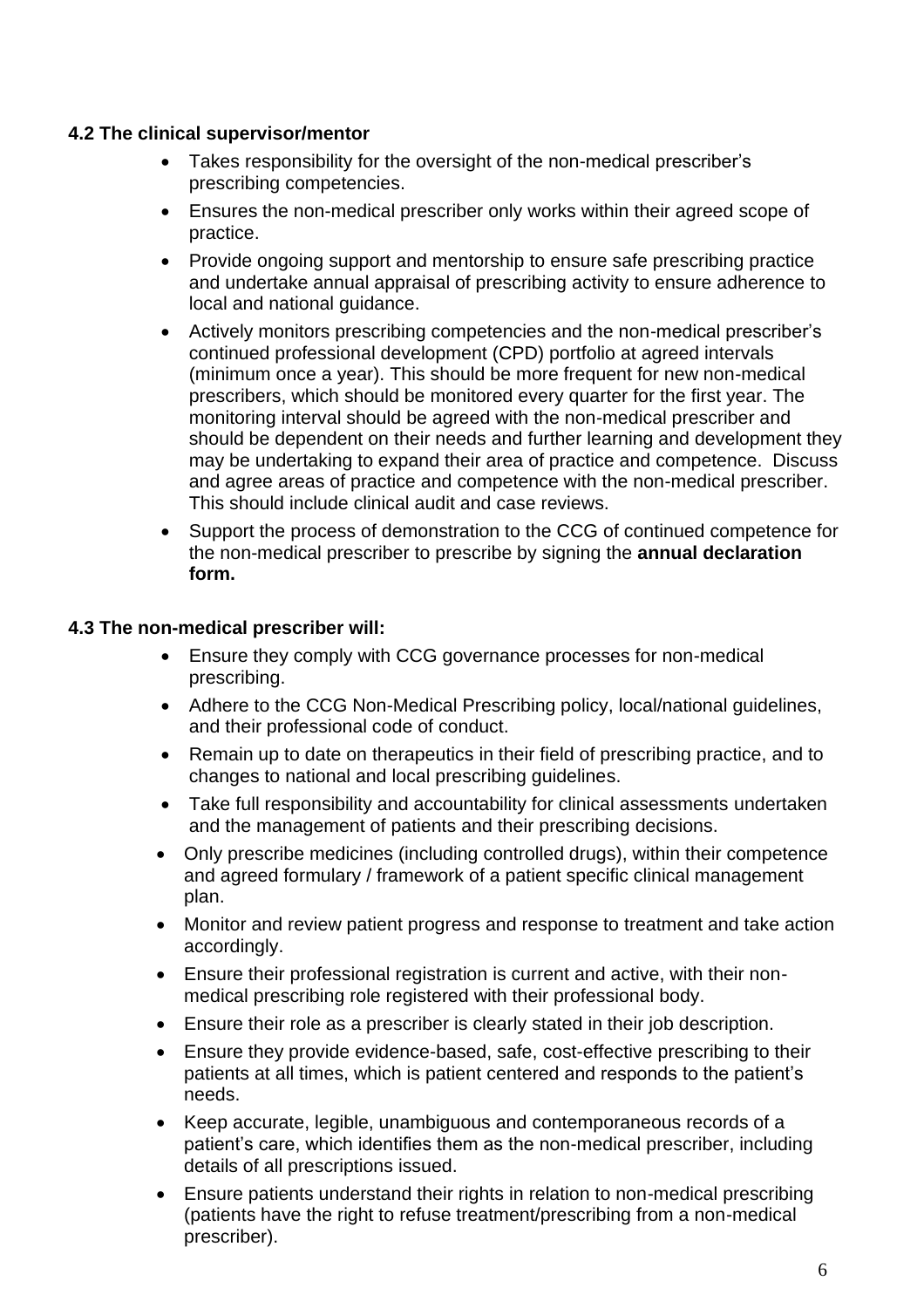#### **4.2 The clinical supervisor/mentor**

- Takes responsibility for the oversight of the non-medical prescriber's prescribing competencies.
- Ensures the non-medical prescriber only works within their agreed scope of practice.
- Provide ongoing support and mentorship to ensure safe prescribing practice and undertake annual appraisal of prescribing activity to ensure adherence to local and national guidance.
- Actively monitors prescribing competencies and the non-medical prescriber's continued professional development (CPD) portfolio at agreed intervals (minimum once a year). This should be more frequent for new non-medical prescribers, which should be monitored every quarter for the first year. The monitoring interval should be agreed with the non-medical prescriber and should be dependent on their needs and further learning and development they may be undertaking to expand their area of practice and competence. Discuss and agree areas of practice and competence with the non-medical prescriber. This should include clinical audit and case reviews.
- Support the process of demonstration to the CCG of continued competence for the non-medical prescriber to prescribe by signing the **annual declaration form.**

#### **4.3 The non-medical prescriber will:**

- Ensure they comply with CCG governance processes for non-medical prescribing.
- Adhere to the CCG Non-Medical Prescribing policy, local/national guidelines, and their professional code of conduct.
- Remain up to date on therapeutics in their field of prescribing practice, and to changes to national and local prescribing guidelines.
- Take full responsibility and accountability for clinical assessments undertaken and the management of patients and their prescribing decisions.
- Only prescribe medicines (including controlled drugs), within their competence and agreed formulary / framework of a patient specific clinical management plan.
- Monitor and review patient progress and response to treatment and take action accordingly.
- Ensure their professional registration is current and active, with their nonmedical prescribing role registered with their professional body.
- Ensure their role as a prescriber is clearly stated in their job description.
- Ensure they provide evidence-based, safe, cost-effective prescribing to their patients at all times, which is patient centered and responds to the patient's needs.
- Keep accurate, legible, unambiguous and contemporaneous records of a patient's care, which identifies them as the non-medical prescriber, including details of all prescriptions issued.
- Ensure patients understand their rights in relation to non-medical prescribing (patients have the right to refuse treatment/prescribing from a non-medical prescriber).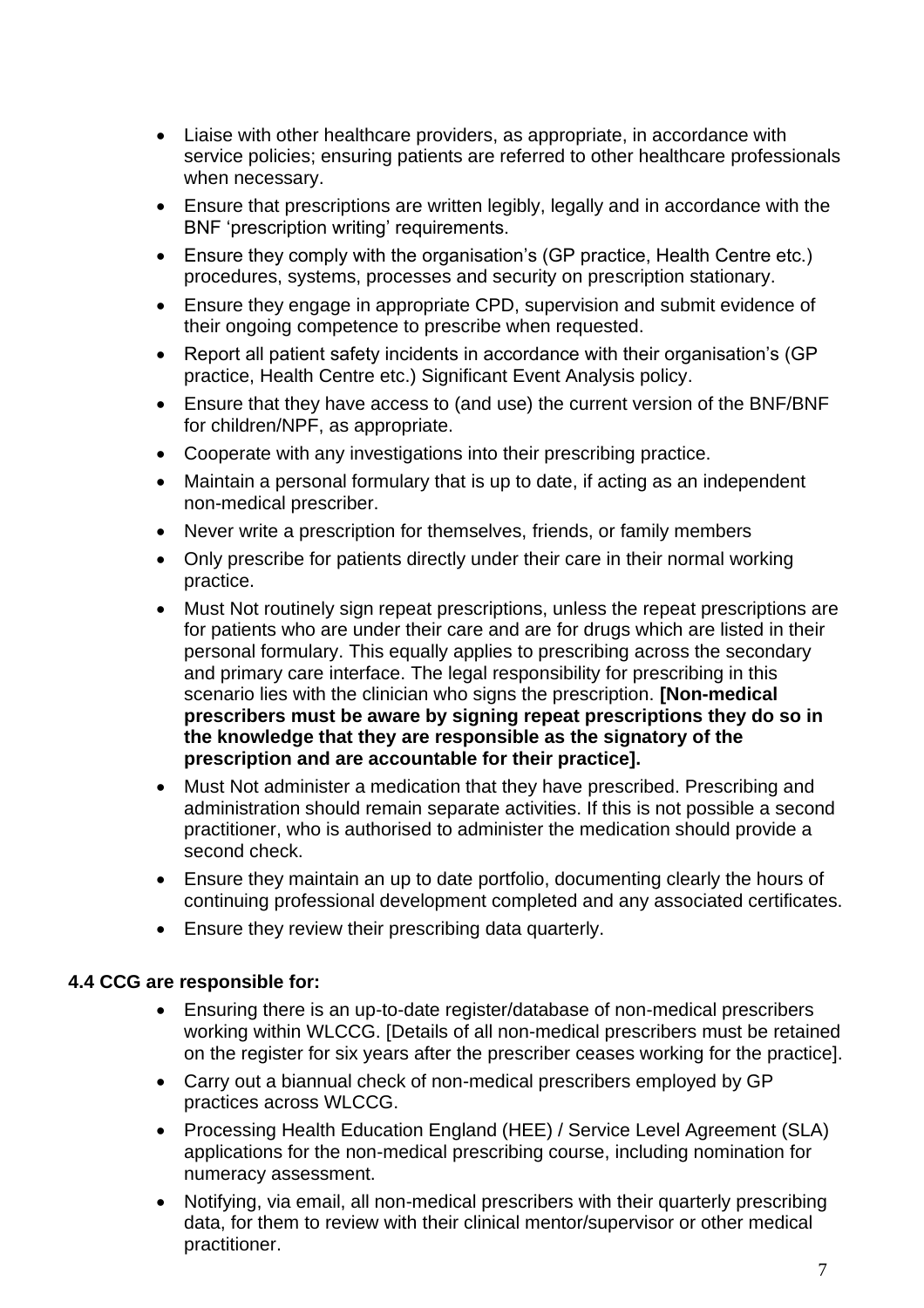- Liaise with other healthcare providers, as appropriate, in accordance with service policies; ensuring patients are referred to other healthcare professionals when necessary.
- Ensure that prescriptions are written legibly, legally and in accordance with the BNF 'prescription writing' requirements.
- Ensure they comply with the organisation's (GP practice, Health Centre etc.) procedures, systems, processes and security on prescription stationary.
- Ensure they engage in appropriate CPD, supervision and submit evidence of their ongoing competence to prescribe when requested.
- Report all patient safety incidents in accordance with their organisation's (GP practice, Health Centre etc.) Significant Event Analysis policy.
- Ensure that they have access to (and use) the current version of the BNF/BNF for children/NPF, as appropriate.
- Cooperate with any investigations into their prescribing practice.
- Maintain a personal formulary that is up to date, if acting as an independent non-medical prescriber.
- Never write a prescription for themselves, friends, or family members
- Only prescribe for patients directly under their care in their normal working practice.
- Must Not routinely sign repeat prescriptions, unless the repeat prescriptions are for patients who are under their care and are for drugs which are listed in their personal formulary. This equally applies to prescribing across the secondary and primary care interface. The legal responsibility for prescribing in this scenario lies with the clinician who signs the prescription. **[Non-medical prescribers must be aware by signing repeat prescriptions they do so in the knowledge that they are responsible as the signatory of the prescription and are accountable for their practice].**
- Must Not administer a medication that they have prescribed. Prescribing and administration should remain separate activities. If this is not possible a second practitioner, who is authorised to administer the medication should provide a second check.
- Ensure they maintain an up to date portfolio, documenting clearly the hours of continuing professional development completed and any associated certificates.
- Ensure they review their prescribing data quarterly.

#### **4.4 CCG are responsible for:**

- Ensuring there is an up-to-date register/database of non-medical prescribers working within WLCCG. [Details of all non-medical prescribers must be retained on the register for six years after the prescriber ceases working for the practice].
- Carry out a biannual check of non-medical prescribers employed by GP practices across WLCCG.
- Processing Health Education England (HEE) / Service Level Agreement (SLA) applications for the non-medical prescribing course, including nomination for numeracy assessment.
- Notifying, via email, all non-medical prescribers with their quarterly prescribing data, for them to review with their clinical mentor/supervisor or other medical practitioner.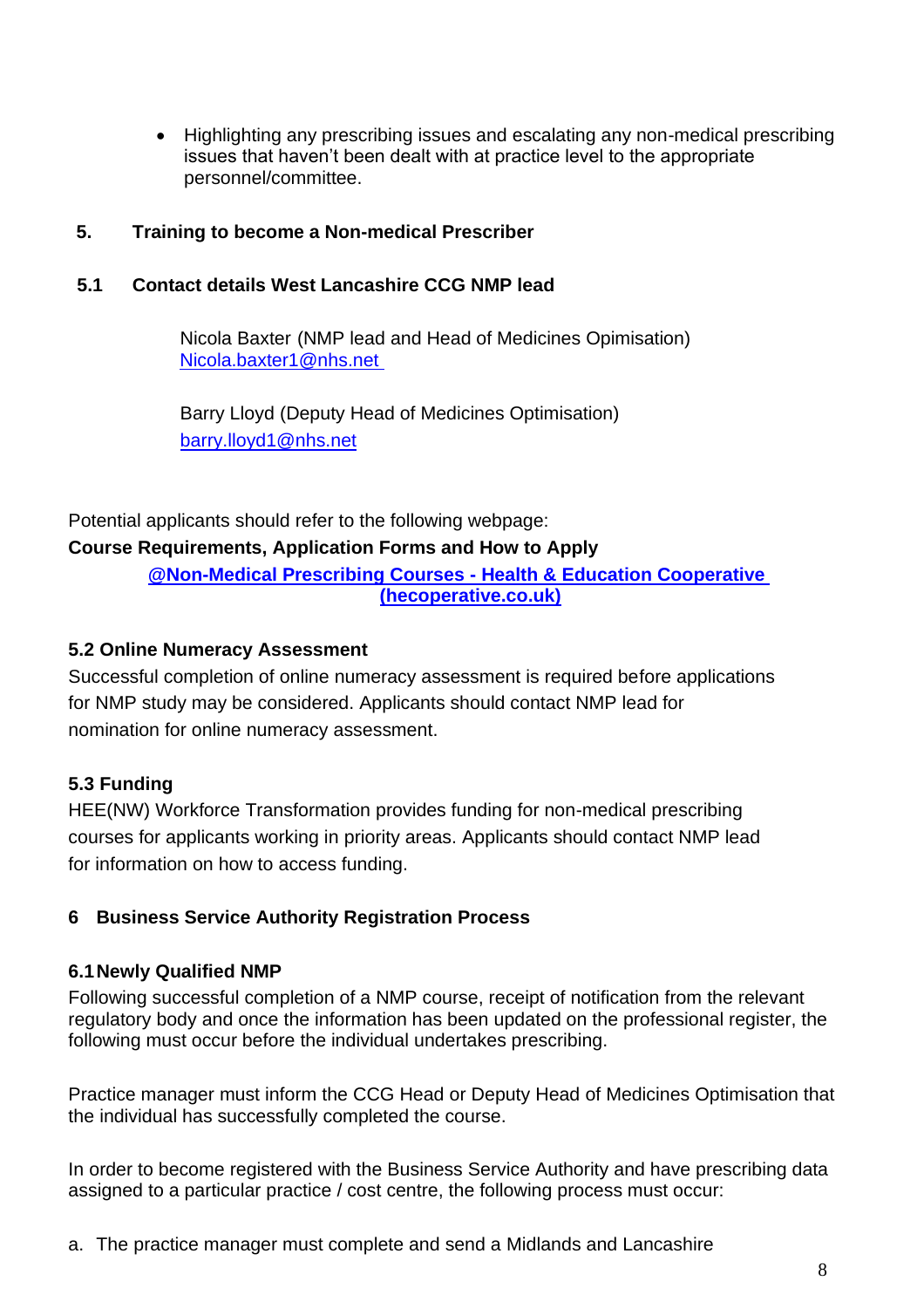• Highlighting any prescribing issues and escalating any non-medical prescribing issues that haven't been dealt with at practice level to the appropriate personnel/committee.

#### **5. Training to become a Non-medical Prescriber**

#### **5.1 Contact details West Lancashire CCG NMP lead**

Nicola Baxter (NMP lead and Head of Medicines Opimisation) [Nicola.baxter1@nhs.net](mailto:Nicola.baxter1@nhs.net)

Barry Lloyd (Deputy Head of Medicines Optimisation) [barry.lloyd1@nhs.net](mailto:barry.lloyd1@nhs.net)

Potential applicants should refer to the following webpage: **Course Requirements, Application Forms and How to Apply**

> **[@Non-Medical Prescribing Courses -](https://www.hecooperative.co.uk/nmp-area/nmp-courses-uk/) Health & Education Cooperative [\(hecoperative.co.uk\)](https://www.hecooperative.co.uk/nmp-area/nmp-courses-uk/)**

#### **5.2 Online Numeracy Assessment**

Successful completion of online numeracy assessment is required before applications for NMP study may be considered. Applicants should contact NMP lead for nomination for online numeracy assessment.

# **5.3 Funding**

HEE(NW) Workforce Transformation provides funding for non-medical prescribing courses for applicants working in priority areas. Applicants should contact NMP lead for information on how to access funding.

# **6 Business Service Authority Registration Process**

#### **6.1Newly Qualified NMP**

Following successful completion of a NMP course, receipt of notification from the relevant regulatory body and once the information has been updated on the professional register, the following must occur before the individual undertakes prescribing.

Practice manager must inform the CCG Head or Deputy Head of Medicines Optimisation that the individual has successfully completed the course.

In order to become registered with the Business Service Authority and have prescribing data assigned to a particular practice / cost centre, the following process must occur:

a. The practice manager must complete and send a Midlands and Lancashire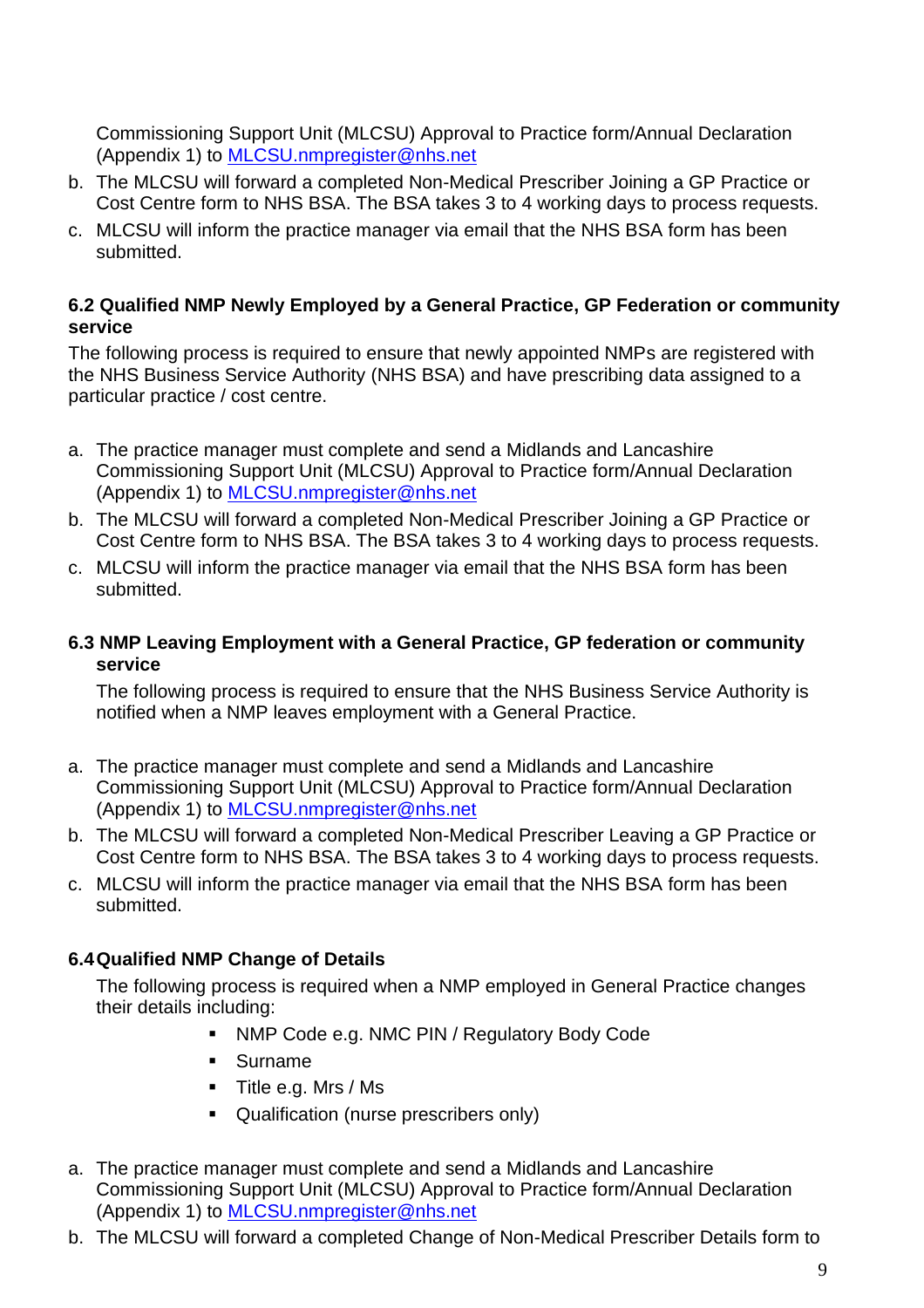Commissioning Support Unit (MLCSU) Approval to Practice form/Annual Declaration (Appendix 1) to [MLCSU.nmpregister@nhs.net](mailto:nmp.register@lancashirecsu.nhs.uk)

- b. The MLCSU will forward a completed Non-Medical Prescriber Joining a GP Practice or Cost Centre form to NHS BSA. The BSA takes 3 to 4 working days to process requests.
- c. MLCSU will inform the practice manager via email that the NHS BSA form has been submitted.

#### **6.2 Qualified NMP Newly Employed by a General Practice, GP Federation or community service**

The following process is required to ensure that newly appointed NMPs are registered with the NHS Business Service Authority (NHS BSA) and have prescribing data assigned to a particular practice / cost centre.

- a. The practice manager must complete and send a Midlands and Lancashire Commissioning Support Unit (MLCSU) Approval to Practice form/Annual Declaration (Appendix 1) to [MLCSU.nmpregister@nhs.net](mailto:nmp.register@lancashirecsu.nhs.uk)
- b. The MLCSU will forward a completed Non-Medical Prescriber Joining a GP Practice or Cost Centre form to NHS BSA. The BSA takes 3 to 4 working days to process requests.
- c. MLCSU will inform the practice manager via email that the NHS BSA form has been submitted.

#### **6.3 NMP Leaving Employment with a General Practice, GP federation or community service**

The following process is required to ensure that the NHS Business Service Authority is notified when a NMP leaves employment with a General Practice.

- a. The practice manager must complete and send a Midlands and Lancashire Commissioning Support Unit (MLCSU) Approval to Practice form/Annual Declaration (Appendix 1) to [MLCSU.nmpregister@nhs.net](mailto:nmp.register@lancashirecsu.nhs.uk)
- b. The MLCSU will forward a completed Non-Medical Prescriber Leaving a GP Practice or Cost Centre form to NHS BSA. The BSA takes 3 to 4 working days to process requests.
- c. MLCSU will inform the practice manager via email that the NHS BSA form has been submitted.

#### **6.4Qualified NMP Change of Details**

The following process is required when a NMP employed in General Practice changes their details including:

- NMP Code e.g. NMC PIN / Regulatory Body Code
- Surname
- Title e.g. Mrs / Ms
- Qualification (nurse prescribers only)
- a. The practice manager must complete and send a Midlands and Lancashire Commissioning Support Unit (MLCSU) Approval to Practice form/Annual Declaration (Appendix 1) to [MLCSU.nmpregister@nhs.net](mailto:nmp.register@lancashirecsu.nhs.uk)
- b. The MLCSU will forward a completed Change of Non-Medical Prescriber Details form to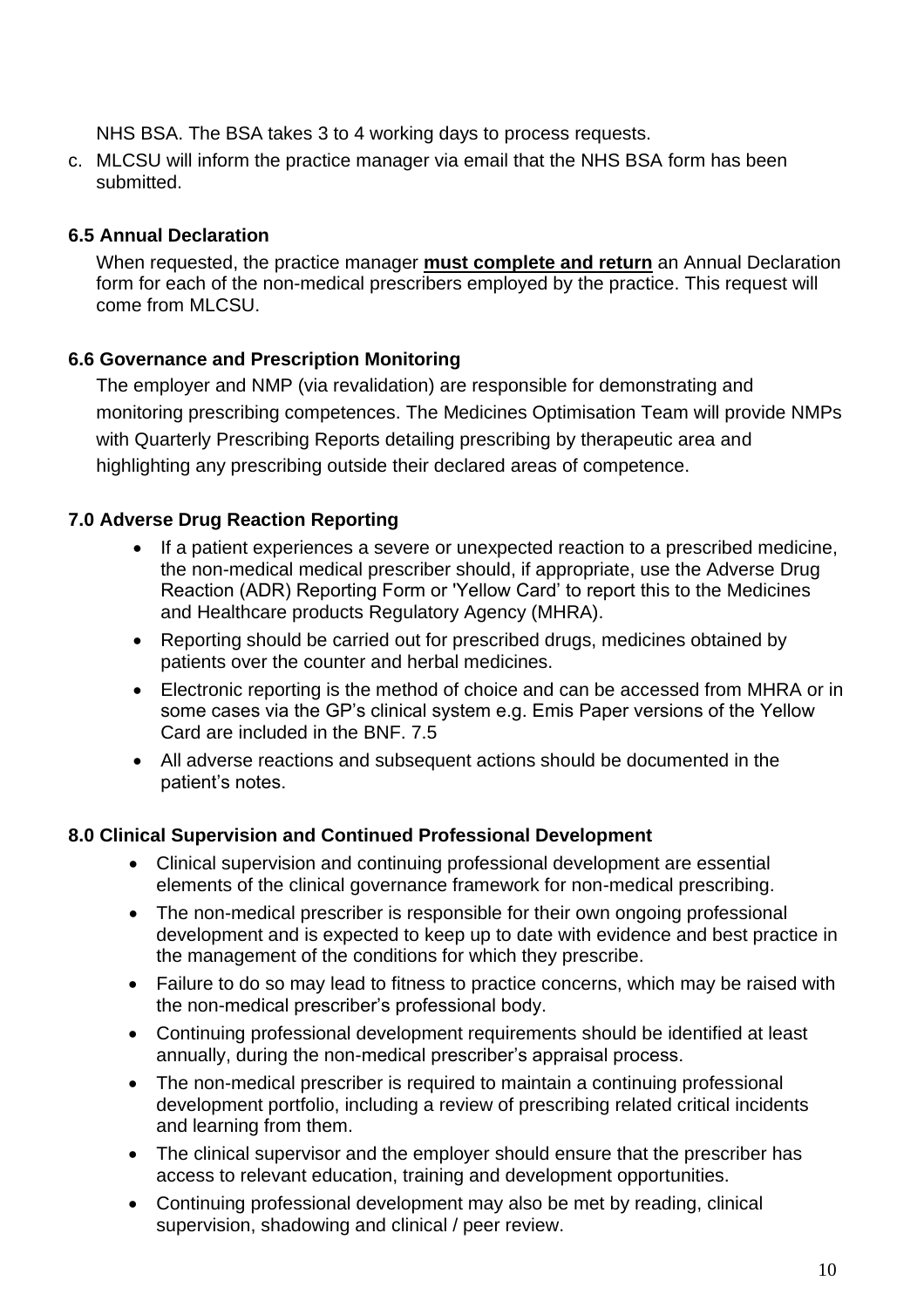NHS BSA. The BSA takes 3 to 4 working days to process requests.

c. MLCSU will inform the practice manager via email that the NHS BSA form has been submitted.

#### **6.5 Annual Declaration**

When requested, the practice manager **must complete and return** an Annual Declaration form for each of the non-medical prescribers employed by the practice. This request will come from MLCSU.

## **6.6 Governance and Prescription Monitoring**

The employer and NMP (via revalidation) are responsible for demonstrating and monitoring prescribing competences. The Medicines Optimisation Team will provide NMPs with Quarterly Prescribing Reports detailing prescribing by therapeutic area and highlighting any prescribing outside their declared areas of competence.

## **7.0 Adverse Drug Reaction Reporting**

- If a patient experiences a severe or unexpected reaction to a prescribed medicine, the non-medical medical prescriber should, if appropriate, use the Adverse Drug Reaction (ADR) Reporting Form or 'Yellow Card' to report this to the Medicines and Healthcare products Regulatory Agency (MHRA).
- Reporting should be carried out for prescribed drugs, medicines obtained by patients over the counter and herbal medicines.
- Electronic reporting is the method of choice and can be accessed from MHRA or in some cases via the GP's clinical system e.g. Emis Paper versions of the Yellow Card are included in the BNF. 7.5
- All adverse reactions and subsequent actions should be documented in the patient's notes.

#### **8.0 Clinical Supervision and Continued Professional Development**

- Clinical supervision and continuing professional development are essential elements of the clinical governance framework for non-medical prescribing.
- The non-medical prescriber is responsible for their own ongoing professional development and is expected to keep up to date with evidence and best practice in the management of the conditions for which they prescribe.
- Failure to do so may lead to fitness to practice concerns, which may be raised with the non-medical prescriber's professional body.
- Continuing professional development requirements should be identified at least annually, during the non-medical prescriber's appraisal process.
- The non-medical prescriber is required to maintain a continuing professional development portfolio, including a review of prescribing related critical incidents and learning from them.
- The clinical supervisor and the employer should ensure that the prescriber has access to relevant education, training and development opportunities.
- Continuing professional development may also be met by reading, clinical supervision, shadowing and clinical / peer review.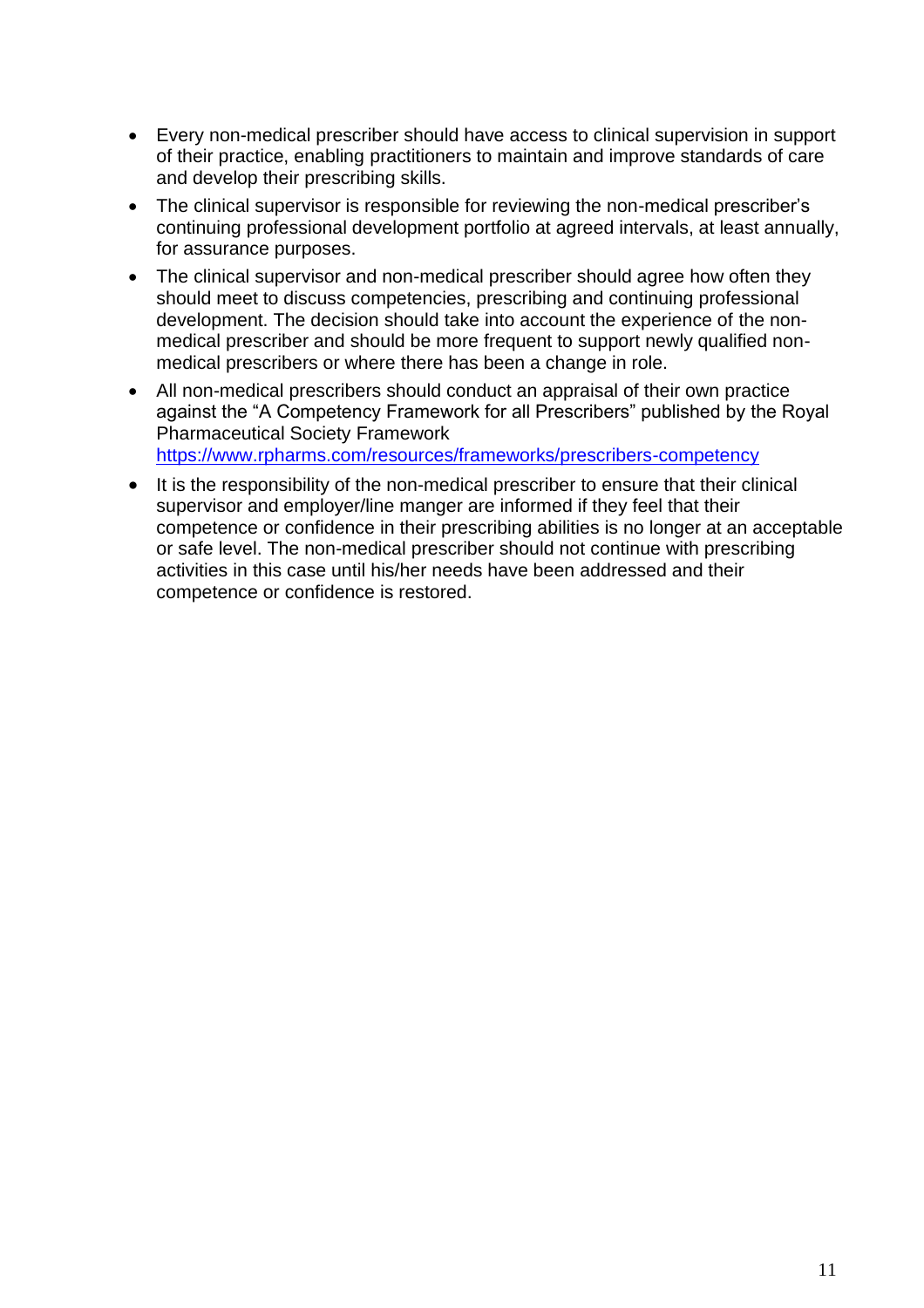- Every non-medical prescriber should have access to clinical supervision in support of their practice, enabling practitioners to maintain and improve standards of care and develop their prescribing skills.
- The clinical supervisor is responsible for reviewing the non-medical prescriber's continuing professional development portfolio at agreed intervals, at least annually, for assurance purposes.
- The clinical supervisor and non-medical prescriber should agree how often they should meet to discuss competencies, prescribing and continuing professional development. The decision should take into account the experience of the nonmedical prescriber and should be more frequent to support newly qualified nonmedical prescribers or where there has been a change in role.
- All non-medical prescribers should conduct an appraisal of their own practice against the "A Competency Framework for all Prescribers" published by the Royal Pharmaceutical Society Framework <https://www.rpharms.com/resources/frameworks/prescribers-competency>
- It is the responsibility of the non-medical prescriber to ensure that their clinical supervisor and employer/line manger are informed if they feel that their competence or confidence in their prescribing abilities is no longer at an acceptable or safe level. The non-medical prescriber should not continue with prescribing activities in this case until his/her needs have been addressed and their competence or confidence is restored.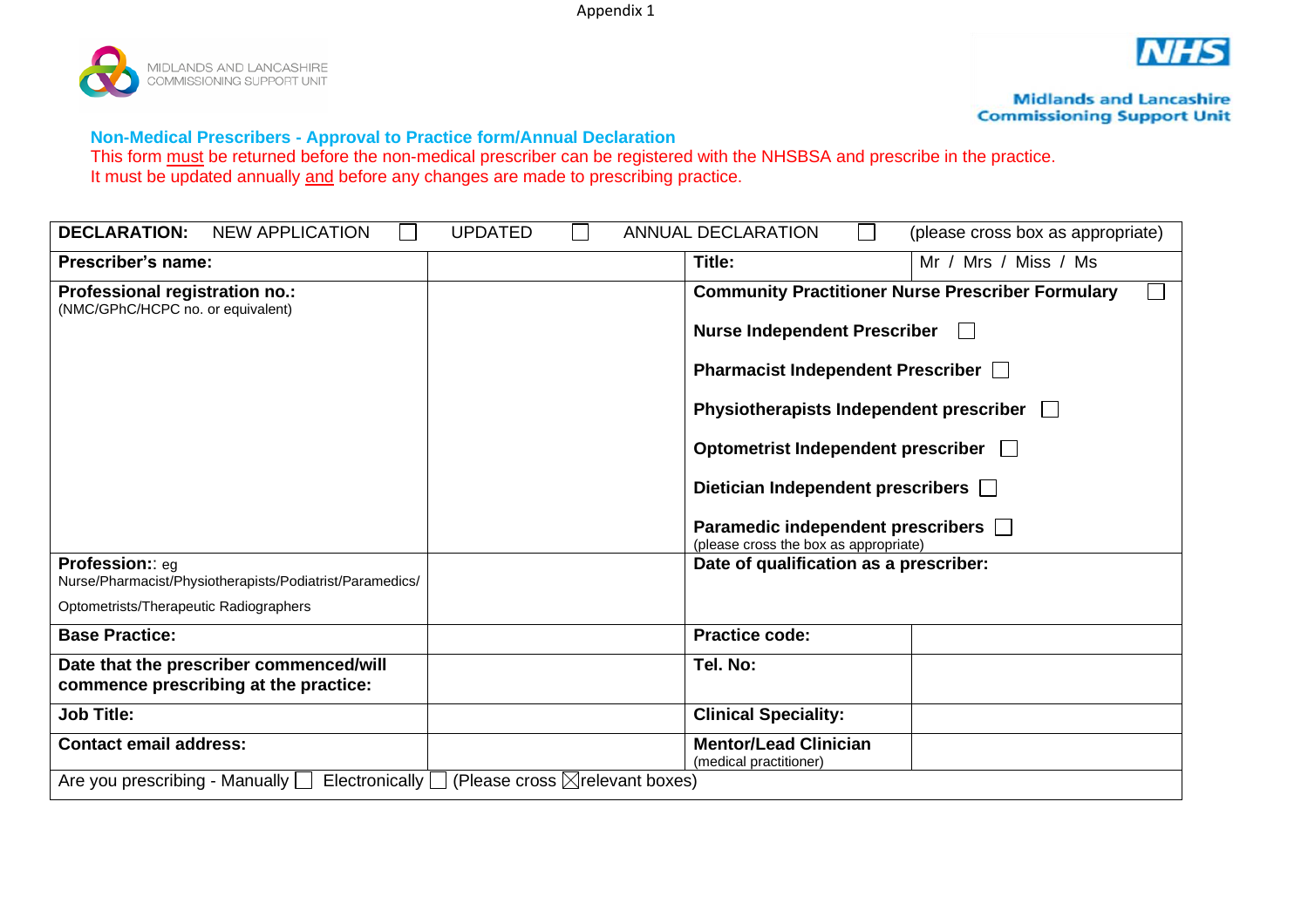Appendix 1





**Midlands and Lancashire Commissioning Support Unit** 

#### **Non-Medical Prescribers - Approval to Practice form/Annual Declaration**

This form must be returned before the non-medical prescriber can be registered with the NHSBSA and prescribe in the practice. It must be updated annually and before any changes are made to prescribing practice.

| <b>DECLARATION:</b><br><b>NEW APPLICATION</b>                                    | <b>UPDATED</b>                                                  | <b>ANNUAL DECLARATION</b>                                                    | (please cross box as appropriate)                        |  |  |
|----------------------------------------------------------------------------------|-----------------------------------------------------------------|------------------------------------------------------------------------------|----------------------------------------------------------|--|--|
| <b>Prescriber's name:</b>                                                        |                                                                 | Title:                                                                       | Mr / Mrs / Miss / Ms                                     |  |  |
| Professional registration no.:<br>(NMC/GPhC/HCPC no. or equivalent)              |                                                                 |                                                                              | <b>Community Practitioner Nurse Prescriber Formulary</b> |  |  |
|                                                                                  |                                                                 |                                                                              | <b>Nurse Independent Prescriber</b><br>$\mathbf{1}$      |  |  |
|                                                                                  |                                                                 | Pharmacist Independent Prescriber                                            |                                                          |  |  |
|                                                                                  |                                                                 | Physiotherapists Independent prescriber                                      |                                                          |  |  |
|                                                                                  |                                                                 | Optometrist Independent prescriber                                           |                                                          |  |  |
|                                                                                  |                                                                 | Dietician Independent prescribers <b>Diamond</b>                             |                                                          |  |  |
|                                                                                  |                                                                 | Paramedic independent prescribers  <br>(please cross the box as appropriate) |                                                          |  |  |
| Profession: eq<br>Nurse/Pharmacist/Physiotherapists/Podiatrist/Paramedics/       |                                                                 | Date of qualification as a prescriber:                                       |                                                          |  |  |
| Optometrists/Therapeutic Radiographers                                           |                                                                 |                                                                              |                                                          |  |  |
| <b>Base Practice:</b>                                                            |                                                                 | <b>Practice code:</b>                                                        |                                                          |  |  |
| Date that the prescriber commenced/will<br>commence prescribing at the practice: |                                                                 | Tel. No:                                                                     |                                                          |  |  |
| <b>Job Title:</b>                                                                |                                                                 | <b>Clinical Speciality:</b>                                                  |                                                          |  |  |
| <b>Contact email address:</b>                                                    |                                                                 | <b>Mentor/Lead Clinician</b><br>(medical practitioner)                       |                                                          |  |  |
| Are you prescribing - Manually $\Box$                                            | Electronically $\Box$ (Please cross $\boxtimes$ relevant boxes) |                                                                              |                                                          |  |  |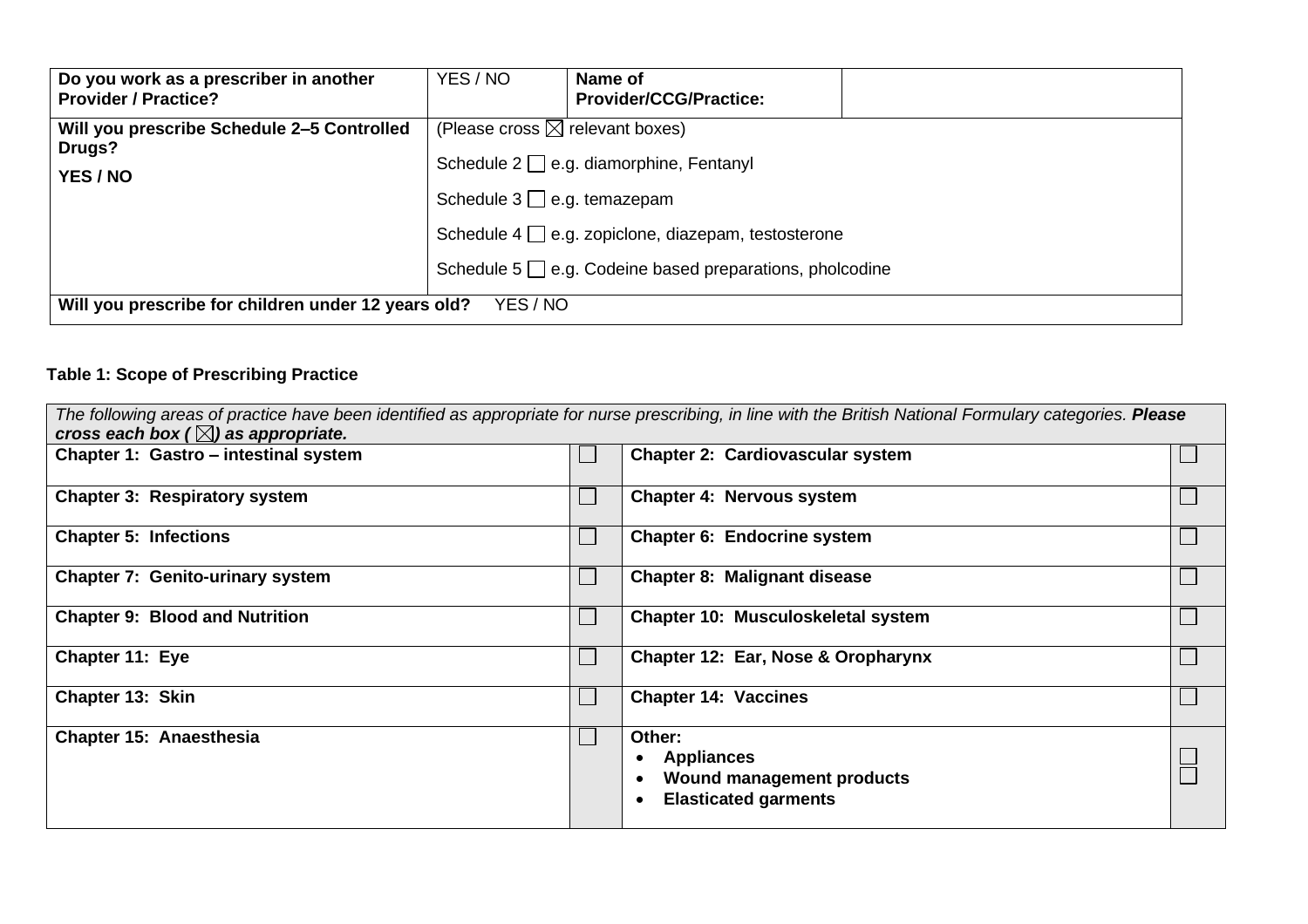| Do you work as a prescriber in another<br><b>Provider / Practice?</b> | YES / NO                                                                                     | Name of<br><b>Provider/CCG/Practice:</b> |  |  |  |
|-----------------------------------------------------------------------|----------------------------------------------------------------------------------------------|------------------------------------------|--|--|--|
| Will you prescribe Schedule 2-5 Controlled<br>Drugs?<br>YES / NO      | (Please cross $\boxtimes$ relevant boxes)<br>Schedule $2 \square$ e.g. diamorphine, Fentanyl |                                          |  |  |  |
|                                                                       | Schedule $3 \square$ e.g. temazepam                                                          |                                          |  |  |  |
|                                                                       | Schedule $4 \Box$ e.g. zopiclone, diazepam, testosterone                                     |                                          |  |  |  |
|                                                                       | Schedule 5 $\Box$ e.g. Codeine based preparations, pholcodine                                |                                          |  |  |  |
| Will you prescribe for children under 12 years old?<br>YES / NO       |                                                                                              |                                          |  |  |  |

# **Table 1: Scope of Prescribing Practice**

| cross each box ( $\boxtimes$ ) as appropriate. |                             | The following areas of practice have been identified as appropriate for nurse prescribing, in line with the British National Formulary categories. Please |  |
|------------------------------------------------|-----------------------------|-----------------------------------------------------------------------------------------------------------------------------------------------------------|--|
| Chapter 1: Gastro - intestinal system          |                             | <b>Chapter 2: Cardiovascular system</b>                                                                                                                   |  |
| <b>Chapter 3: Respiratory system</b>           | $\mathcal{L}_{\mathcal{A}}$ | <b>Chapter 4: Nervous system</b>                                                                                                                          |  |
| <b>Chapter 5: Infections</b>                   | $\mathcal{L}_{\mathcal{A}}$ | Chapter 6: Endocrine system                                                                                                                               |  |
| <b>Chapter 7: Genito-urinary system</b>        | $\mathcal{L}_{\mathcal{A}}$ | <b>Chapter 8: Malignant disease</b>                                                                                                                       |  |
| <b>Chapter 9: Blood and Nutrition</b>          | $\mathcal{L}_{\mathcal{A}}$ | Chapter 10: Musculoskeletal system                                                                                                                        |  |
| Chapter 11: Eye                                | $\mathcal{L}_{\mathcal{A}}$ | Chapter 12: Ear, Nose & Oropharynx                                                                                                                        |  |
| Chapter 13: Skin                               | $\mathcal{L}_{\mathcal{A}}$ | <b>Chapter 14: Vaccines</b>                                                                                                                               |  |
| Chapter 15: Anaesthesia                        | $\mathcal{L}_{\mathcal{A}}$ | Other:<br><b>Appliances</b><br>Wound management products<br><b>Elasticated garments</b>                                                                   |  |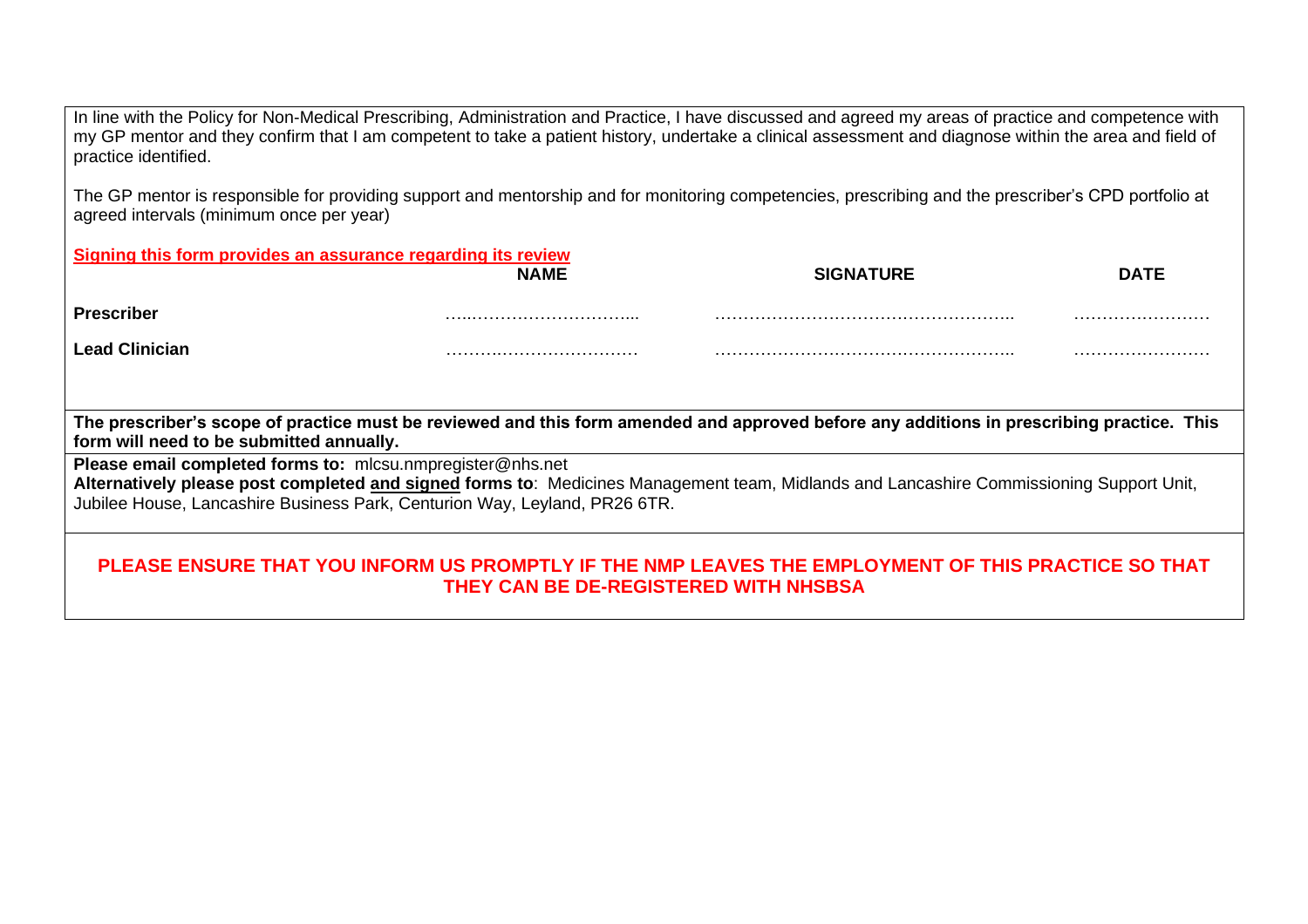In line with the Policy for Non-Medical Prescribing, Administration and Practice, I have discussed and agreed my areas of practice and competence with my GP mentor and they confirm that I am competent to take a patient history, undertake a clinical assessment and diagnose within the area and field of practice identified.

The GP mentor is responsible for providing support and mentorship and for monitoring competencies, prescribing and the prescriber's CPD portfolio at agreed intervals (minimum once per year)

| Signing this form provides an assurance regarding its review                                                                                                                                                          |                                       |                                                                                                     |             |  |  |  |
|-----------------------------------------------------------------------------------------------------------------------------------------------------------------------------------------------------------------------|---------------------------------------|-----------------------------------------------------------------------------------------------------|-------------|--|--|--|
|                                                                                                                                                                                                                       | <b>NAME</b>                           | <b>SIGNATURE</b>                                                                                    | <b>DATE</b> |  |  |  |
| <b>Prescriber</b>                                                                                                                                                                                                     |                                       |                                                                                                     |             |  |  |  |
| <b>Lead Clinician</b>                                                                                                                                                                                                 |                                       |                                                                                                     |             |  |  |  |
|                                                                                                                                                                                                                       |                                       |                                                                                                     |             |  |  |  |
| The prescriber's scope of practice must be reviewed and this form amended and approved before any additions in prescribing practice. This<br>form will need to be submitted annually.                                 |                                       |                                                                                                     |             |  |  |  |
| Please email completed forms to: mlcsu.nmpregister@nhs.net                                                                                                                                                            |                                       |                                                                                                     |             |  |  |  |
| Alternatively please post completed and signed forms to: Medicines Management team, Midlands and Lancashire Commissioning Support Unit,<br>Jubilee House, Lancashire Business Park, Centurion Way, Leyland, PR26 6TR. |                                       |                                                                                                     |             |  |  |  |
|                                                                                                                                                                                                                       | THEY CAN BE DE-REGISTERED WITH NHSBSA | PLEASE ENSURE THAT YOU INFORM US PROMPTLY IF THE NMP LEAVES THE EMPLOYMENT OF THIS PRACTICE SO THAT |             |  |  |  |